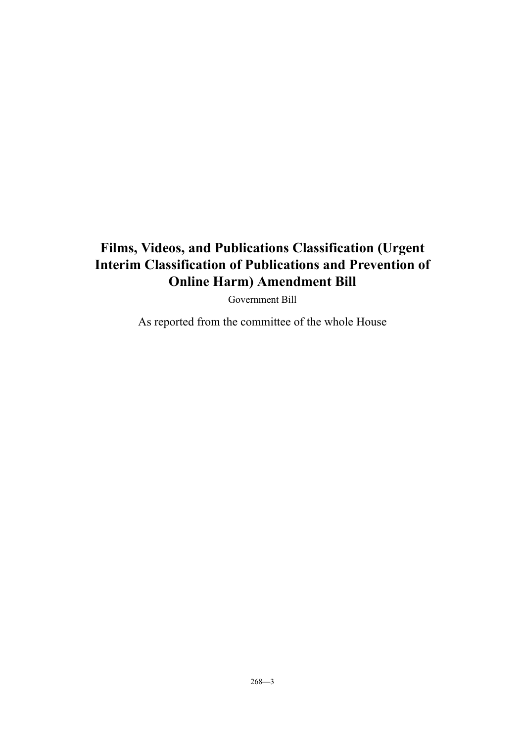# **Films, Videos, and Publications Classification (Urgent Interim Classification of Publications and Prevention of Online Harm) Amendment Bill**

Government Bill

As reported from the committee of the whole House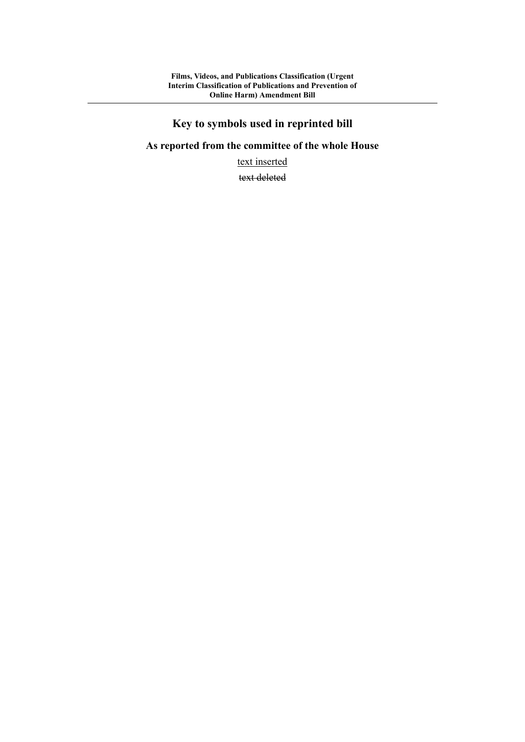# **Key to symbols used in reprinted bill**

# **As reported from the committee of the whole House**

text inserted

text deleted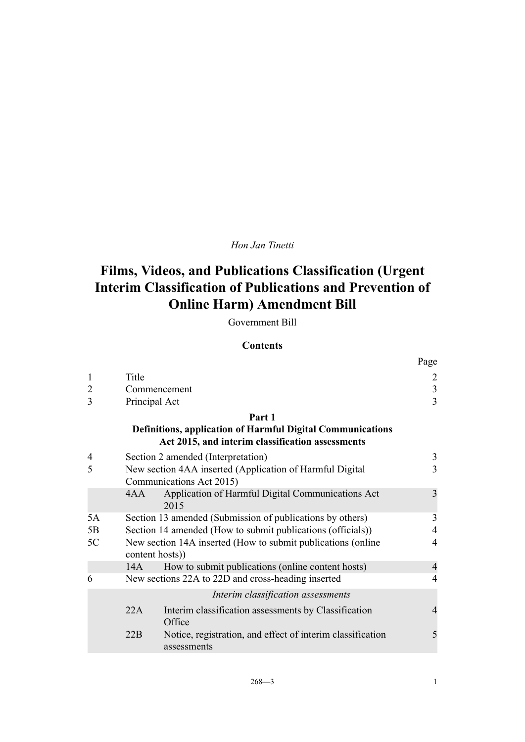# *Hon Jan Tinetti*

# **Films, Videos, and Publications Classification (Urgent Interim Classification of Publications and Prevention of Online Harm) Amendment Bill**

# Government Bill

# **Contents**

|                |                                                                                 |                                                                                                                       | Page           |
|----------------|---------------------------------------------------------------------------------|-----------------------------------------------------------------------------------------------------------------------|----------------|
| 1              | Title                                                                           |                                                                                                                       | $\overline{2}$ |
| $\overline{2}$ |                                                                                 | Commencement                                                                                                          | 3              |
| 3              | Principal Act                                                                   |                                                                                                                       | $\overline{3}$ |
|                |                                                                                 | Part 1                                                                                                                |                |
|                |                                                                                 | <b>Definitions, application of Harmful Digital Communications</b><br>Act 2015, and interim classification assessments |                |
| 4              |                                                                                 | Section 2 amended (Interpretation)                                                                                    | 3              |
| 5              |                                                                                 | New section 4AA inserted (Application of Harmful Digital<br>Communications Act 2015)                                  | 3              |
|                | 4AA                                                                             | Application of Harmful Digital Communications Act<br>2015                                                             | 3              |
| 5A             |                                                                                 | Section 13 amended (Submission of publications by others)                                                             | 3              |
| 5B             |                                                                                 | Section 14 amended (How to submit publications (officials))                                                           | $\overline{4}$ |
| 5C             | New section 14A inserted (How to submit publications (online<br>content hosts)) |                                                                                                                       | $\overline{4}$ |
|                | 14A                                                                             | How to submit publications (online content hosts)                                                                     | $\overline{4}$ |
| 6              |                                                                                 | New sections 22A to 22D and cross-heading inserted                                                                    | 4              |
|                |                                                                                 | Interim classification assessments                                                                                    |                |
|                | 22A                                                                             | Interim classification assessments by Classification<br>Office                                                        | $\overline{4}$ |
|                | 22B                                                                             | Notice, registration, and effect of interim classification<br>assessments                                             | 5              |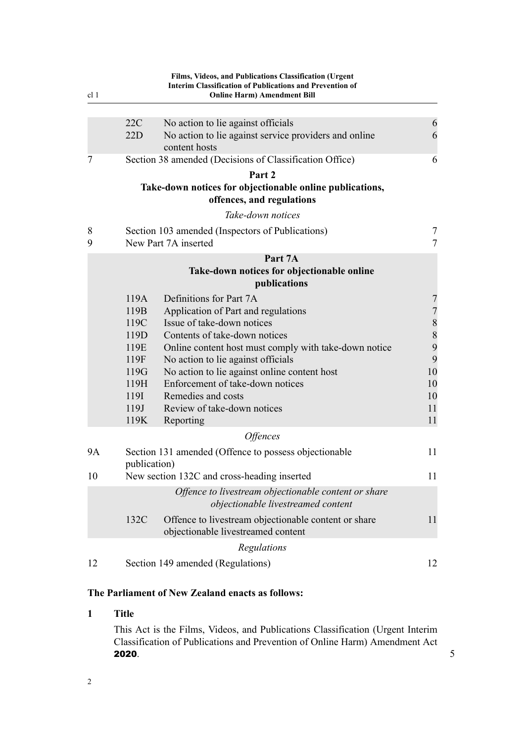<span id="page-5-0"></span>

| cl <sub>1</sub> |                                                                                      | Films, Videos, and Publications Classification (Urgent<br><b>Interim Classification of Publications and Prevention of</b><br><b>Online Harm) Amendment Bill</b>                                                                                                                                                                                                                                              |                                                                                                               |
|-----------------|--------------------------------------------------------------------------------------|--------------------------------------------------------------------------------------------------------------------------------------------------------------------------------------------------------------------------------------------------------------------------------------------------------------------------------------------------------------------------------------------------------------|---------------------------------------------------------------------------------------------------------------|
|                 |                                                                                      |                                                                                                                                                                                                                                                                                                                                                                                                              |                                                                                                               |
|                 | 22C<br>22D                                                                           | No action to lie against officials<br>No action to lie against service providers and online<br>content hosts                                                                                                                                                                                                                                                                                                 | 6<br>6                                                                                                        |
| 7               |                                                                                      | Section 38 amended (Decisions of Classification Office)                                                                                                                                                                                                                                                                                                                                                      | 6                                                                                                             |
|                 |                                                                                      | Part 2                                                                                                                                                                                                                                                                                                                                                                                                       |                                                                                                               |
|                 |                                                                                      | Take-down notices for objectionable online publications,<br>offences, and regulations                                                                                                                                                                                                                                                                                                                        |                                                                                                               |
|                 |                                                                                      | Take-down notices                                                                                                                                                                                                                                                                                                                                                                                            |                                                                                                               |
| 8<br>9          |                                                                                      | Section 103 amended (Inspectors of Publications)<br>New Part 7A inserted                                                                                                                                                                                                                                                                                                                                     | 7<br>7                                                                                                        |
|                 |                                                                                      | Part 7A                                                                                                                                                                                                                                                                                                                                                                                                      |                                                                                                               |
|                 |                                                                                      | Take-down notices for objectionable online<br>publications                                                                                                                                                                                                                                                                                                                                                   |                                                                                                               |
|                 | 119A<br>119B<br>119C<br>119D<br>119E<br>119F<br>119G<br>119H<br>119I<br>119J<br>119K | Definitions for Part 7A<br>Application of Part and regulations<br>Issue of take-down notices<br>Contents of take-down notices<br>Online content host must comply with take-down notice<br>No action to lie against officials<br>No action to lie against online content host<br>Enforcement of take-down notices<br>Remedies and costs<br>Review of take-down notices<br>Reporting<br><i><b>Offences</b></i> | $\overline{7}$<br>$\sqrt{ }$<br>$\begin{array}{c} 8 \\ 8 \end{array}$<br>9<br>9<br>10<br>10<br>10<br>11<br>11 |
| <b>9A</b>       |                                                                                      | Section 131 amended (Offence to possess objectionable                                                                                                                                                                                                                                                                                                                                                        | 11                                                                                                            |
|                 | publication)                                                                         |                                                                                                                                                                                                                                                                                                                                                                                                              |                                                                                                               |
| 10              |                                                                                      | New section 132C and cross-heading inserted                                                                                                                                                                                                                                                                                                                                                                  | 11                                                                                                            |
|                 |                                                                                      | Offence to livestream objectionable content or share<br>objectionable livestreamed content                                                                                                                                                                                                                                                                                                                   |                                                                                                               |
|                 | 132C                                                                                 | Offence to livestream objectionable content or share<br>objectionable livestreamed content                                                                                                                                                                                                                                                                                                                   | 11                                                                                                            |
|                 |                                                                                      | Regulations                                                                                                                                                                                                                                                                                                                                                                                                  |                                                                                                               |
| 12              |                                                                                      | Section 149 amended (Regulations)                                                                                                                                                                                                                                                                                                                                                                            | 12                                                                                                            |

# **The Parliament of New Zealand enacts as follows:**

# **1 Title**

This Act is the Films, Videos, and Publications Classification (Urgent Interim Classification of Publications and Prevention of Online Harm) Amendment Act **2020**.  $5^{\circ}$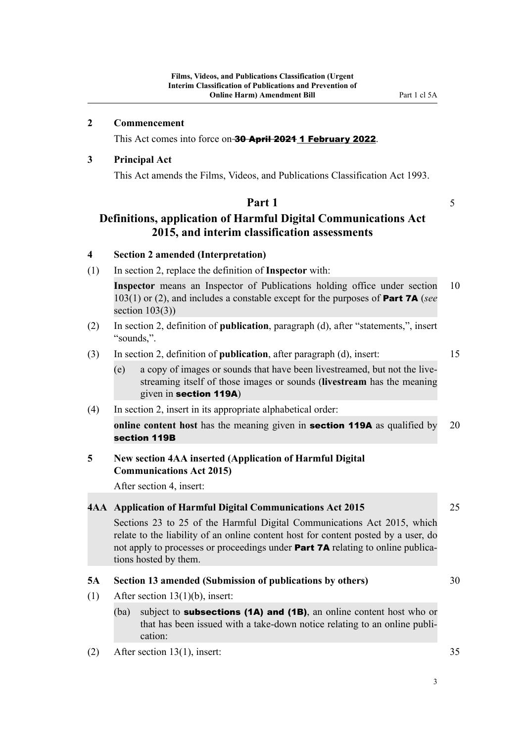<span id="page-6-0"></span>This Act comes into force on 30 April 2021 1 February 2022.

### **3 Principal Act**

This Act amends the Films, Videos, and Publications Classification Act 1993.

#### **Part 1** 5

# **Definitions, application of Harmful Digital Communications Act 2015, and interim classification assessments**

#### **4 Section 2 amended (Interpretation)**

(1) In section 2, replace the definition of **Inspector** with:

**Inspector** means an Inspector of Publications holding office under section 10 103(1) or (2), and includes a constable except for the purposes of Part 7A (*see* section  $103(3)$ )

- (2) In section 2, definition of **publication**, paragraph (d), after "statements,", insert "sounds,".
- (3) In section 2, definition of **publication**, after paragraph (d), insert: 15

- (e) a copy of images or sounds that have been livestreamed, but not the live‐ streaming itself of those images or sounds (**livestream** has the meaning given in section 119A)
- (4) In section 2, insert in its appropriate alphabetical order:

**online content host** has the meaning given in **section 119A** as qualified by 20 section 119B

# **5 New section 4AA inserted (Application of Harmful Digital Communications Act 2015)**

After section 4, insert:

### **4AA Application of Harmful Digital Communications Act 2015** 25

Sections 23 to 25 of the Harmful Digital Communications Act 2015, which relate to the liability of an online content host for content posted by a user, do not apply to processes or proceedings under **Part 7A** relating to online publications hosted by them.

### **5A Section 13 amended (Submission of publications by others)** 30

- (1) After section 13(1)(b), insert:
	- (ba) subject to **subsections (1A) and (1B)**, an online content host who or that has been issued with a take-down notice relating to an online publi‐ cation:
- (2) After section 13(1), insert: 35

3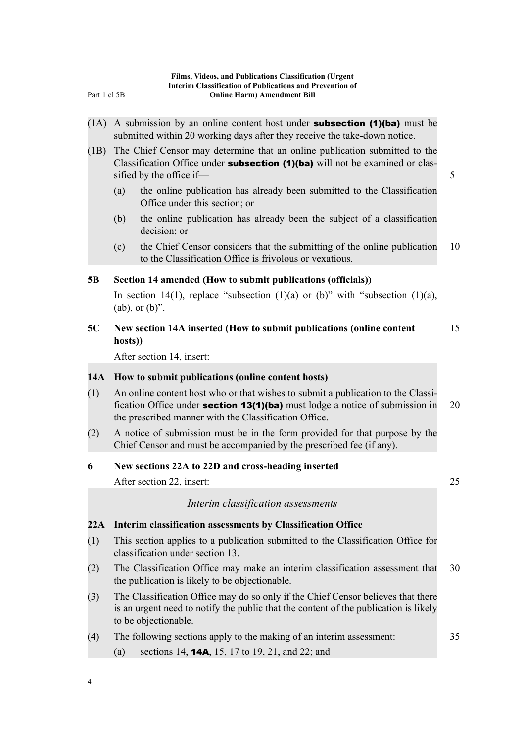- <span id="page-7-0"></span> $(1)$  A submission by an online content host under **subsection (1)(ba)** must be submitted within 20 working days after they receive the take-down notice.
- (1B) The Chief Censor may determine that an online publication submitted to the Classification Office under **subsection (1)(ba)** will not be examined or classified by the office if— 5
	- (a) the online publication has already been submitted to the Classification Office under this section; or
	- (b) the online publication has already been the subject of a classification decision; or
	- (c) the Chief Censor considers that the submitting of the online publication 10 to the Classification Office is frivolous or vexatious.

### **5B Section 14 amended (How to submit publications (officials))**

In section 14(1), replace "subsection (1)(a) or (b)" with "subsection (1)(a),  $(ab)$ , or  $(b)$ ".

**5C New section 14A inserted (How to submit publications (online content** 15 **hosts))**

After section 14, insert:

#### **14A How to submit publications (online content hosts)**

- (1) An online content host who or that wishes to submit a publication to the Classi‐ fication Office under **section 13(1)(ba)** must lodge a notice of submission in 20 the prescribed manner with the Classification Office.
- (2) A notice of submission must be in the form provided for that purpose by the Chief Censor and must be accompanied by the prescribed fee (if any).

#### **6 New sections 22A to 22D and cross-heading inserted**

After section 22, insert: 25

*Interim classification assessments*

#### **22A Interim classification assessments by Classification Office**

- (1) This section applies to a publication submitted to the Classification Office for classification under section 13.
- (2) The Classification Office may make an interim classification assessment that 30 the publication is likely to be objectionable.
- (3) The Classification Office may do so only if the Chief Censor believes that there is an urgent need to notify the public that the content of the publication is likely to be objectionable.
- (4) The following sections apply to the making of an interim assessment: 35
	- (a) sections 14, 14A, 15, 17 to 19, 21, and 22; and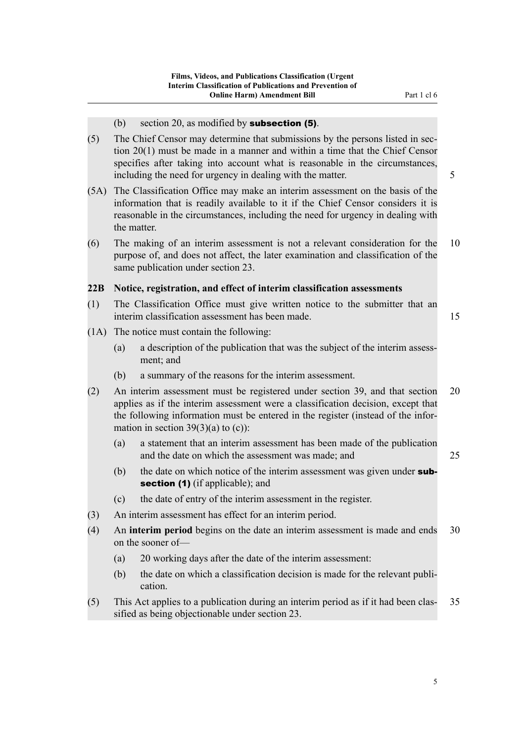- (b) section 20, as modified by **subsection (5)**.
- <span id="page-8-0"></span>(5) The Chief Censor may determine that submissions by the persons listed in sec‐ tion 20(1) must be made in a manner and within a time that the Chief Censor specifies after taking into account what is reasonable in the circumstances, including the need for urgency in dealing with the matter. 5
- (5A) The Classification Office may make an interim assessment on the basis of the information that is readily available to it if the Chief Censor considers it is reasonable in the circumstances, including the need for urgency in dealing with the matter.
- (6) The making of an interim assessment is not a relevant consideration for the 10 purpose of, and does not affect, the later examination and classification of the same publication under section 23.

#### **22B Notice, registration, and effect of interim classification assessments**

- (1) The Classification Office must give written notice to the submitter that an interim classification assessment has been made. 15
- (1A) The notice must contain the following:
	- (a) a description of the publication that was the subject of the interim assess‐ ment; and
	- (b) a summary of the reasons for the interim assessment.
- (2) An interim assessment must be registered under section 39, and that section 20 applies as if the interim assessment were a classification decision, except that the following information must be entered in the register (instead of the infor‐ mation in section  $39(3)(a)$  to (c)):
	- (a) a statement that an interim assessment has been made of the publication and the date on which the assessment was made; and 25
	- (b) the date on which notice of the interim assessment was given under subsection (1) (if applicable); and
	- (c) the date of entry of the interim assessment in the register.
- (3) An interim assessment has effect for an interim period.
- (4) An **interim period** begins on the date an interim assessment is made and ends 30 on the sooner of—
	- (a) 20 working days after the date of the interim assessment:
	- (b) the date on which a classification decision is made for the relevant publication.
- (5) This Act applies to a publication during an interim period as if it had been clas‐ 35 sified as being objectionable under section 23.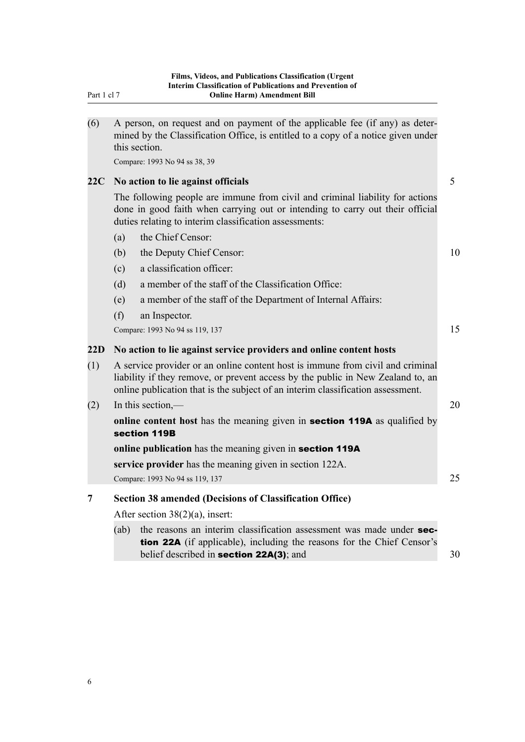<span id="page-9-0"></span>

| (6) | A person, on request and on payment of the applicable fee (if any) as deter-<br>mined by the Classification Office, is entitled to a copy of a notice given under<br>this section.                                                                   |    |  |  |
|-----|------------------------------------------------------------------------------------------------------------------------------------------------------------------------------------------------------------------------------------------------------|----|--|--|
|     | Compare: 1993 No 94 ss 38, 39                                                                                                                                                                                                                        |    |  |  |
| 22C | No action to lie against officials                                                                                                                                                                                                                   | 5  |  |  |
|     | The following people are immune from civil and criminal liability for actions<br>done in good faith when carrying out or intending to carry out their official<br>duties relating to interim classification assessments:                             |    |  |  |
|     | the Chief Censor:<br>(a)                                                                                                                                                                                                                             |    |  |  |
|     | (b)<br>the Deputy Chief Censor:                                                                                                                                                                                                                      | 10 |  |  |
|     | a classification officer:<br>(c)                                                                                                                                                                                                                     |    |  |  |
|     | a member of the staff of the Classification Office:<br>(d)                                                                                                                                                                                           |    |  |  |
|     | a member of the staff of the Department of Internal Affairs:<br>(e)                                                                                                                                                                                  |    |  |  |
|     | (f)<br>an Inspector.                                                                                                                                                                                                                                 |    |  |  |
|     | Compare: 1993 No 94 ss 119, 137                                                                                                                                                                                                                      | 15 |  |  |
| 22D | No action to lie against service providers and online content hosts                                                                                                                                                                                  |    |  |  |
| (1) | A service provider or an online content host is immune from civil and criminal<br>liability if they remove, or prevent access by the public in New Zealand to, an<br>online publication that is the subject of an interim classification assessment. |    |  |  |
| (2) | In this section,—                                                                                                                                                                                                                                    | 20 |  |  |
|     | online content host has the meaning given in <b>section 119A</b> as qualified by<br>section 119B                                                                                                                                                     |    |  |  |
|     | online publication has the meaning given in section 119A                                                                                                                                                                                             |    |  |  |
|     | service provider has the meaning given in section 122A.                                                                                                                                                                                              |    |  |  |
|     | Compare: 1993 No 94 ss 119, 137                                                                                                                                                                                                                      | 25 |  |  |
| 7   | <b>Section 38 amended (Decisions of Classification Office)</b>                                                                                                                                                                                       |    |  |  |
|     | After section $38(2)(a)$ , insert:                                                                                                                                                                                                                   |    |  |  |
|     | the reasons an interim classification assessment was made under sec-<br>(ab)<br><b>tion 22A</b> (if applicable), including the reasons for the Chief Censor's<br>belief described in section 22A(3); and                                             | 30 |  |  |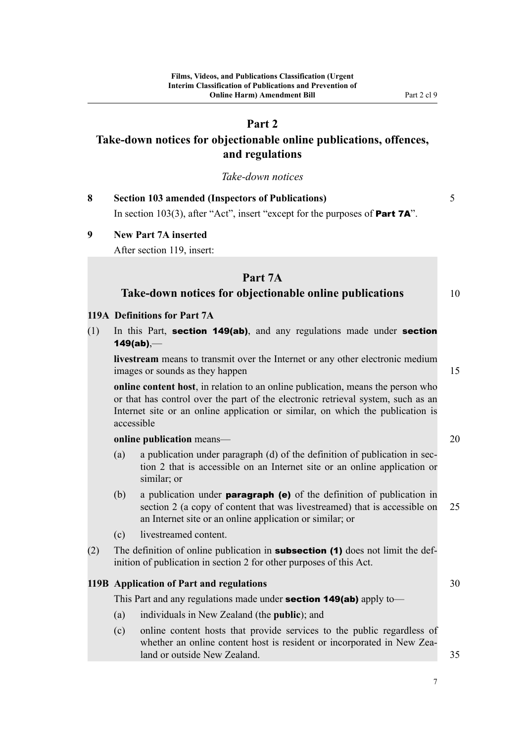# **Part 2**

# <span id="page-10-0"></span>**Take-down notices for objectionable online publications, offences, and regulations**

*Take-down notices*

| <b>Section 103 amended (Inspectors of Publications)</b>                              |  |
|--------------------------------------------------------------------------------------|--|
| In section 103(3), after "Act", insert "except for the purposes of <b>Part 7A</b> ". |  |

#### **9 New Part 7A inserted**

After section 119, insert:

#### **Part 7A**

### **Take-down notices for objectionable online publications** 10

#### **119A Definitions for Part 7A**

(1) In this Part, section 149(ab), and any regulations made under section 149(ab),—

**livestream** means to transmit over the Internet or any other electronic medium images or sounds as they happen 15

**online content host**, in relation to an online publication, means the person who or that has control over the part of the electronic retrieval system, such as an Internet site or an online application or similar, on which the publication is accessible

**online publication** means— 20

- (a) a publication under paragraph (d) of the definition of publication in section 2 that is accessible on an Internet site or an online application or similar; or
- (b) a publication under **paragraph (e)** of the definition of publication in section 2 (a copy of content that was livestreamed) that is accessible on 25 an Internet site or an online application or similar; or
- (c) livestreamed content.
- (2) The definition of online publication in **subsection (1)** does not limit the definition of publication in section 2 for other purposes of this Act.

### **119B Application of Part and regulations 30**

This Part and any regulations made under **section 149(ab)** apply to—

- (a) individuals in New Zealand (the **public**); and
- (c) online content hosts that provide services to the public regardless of whether an online content host is resident or incorporated in New Zealand or outside New Zealand. **35** and 35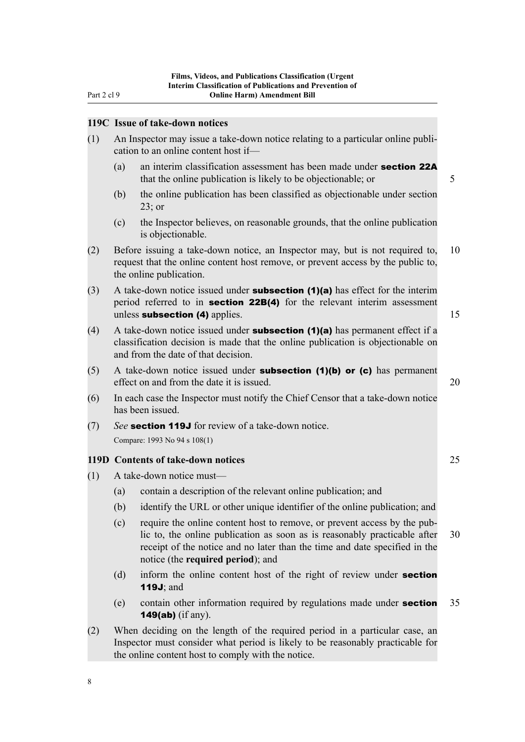<span id="page-11-0"></span>Part 2 cl 9

#### **119C Issue of take-down notices**

- (1) An Inspector may issue a take-down notice relating to a particular online publi‐ cation to an online content host if—
	- (a) an interim classification assessment has been made under **section 22A** that the online publication is likely to be objectionable; or 5
	- (b) the online publication has been classified as objectionable under section 23; or
	- (c) the Inspector believes, on reasonable grounds, that the online publication is objectionable.
- (2) Before issuing a take-down notice, an Inspector may, but is not required to, 10 request that the online content host remove, or prevent access by the public to, the online publication.
- (3) A take-down notice issued under **subsection (1)(a)** has effect for the interim period referred to in **section 22B(4)** for the relevant interim assessment unless **subsection (4)** applies.  $\frac{15}{25}$  **15**
- (4) A take-down notice issued under **subsection (1)(a)** has permanent effect if a classification decision is made that the online publication is objectionable on and from the date of that decision.
- $(5)$  A take-down notice issued under **subsection (1)(b) or (c)** has permanent effect on and from the date it is issued. 20 and  $\frac{20}{20}$
- (6) In each case the Inspector must notify the Chief Censor that a take-down notice has been issued.
- (7) *See* section 119J for review of a take-down notice. Compare: 1993 No 94 s 108(1)

#### **119D Contents of take-down notices** 25

- (1) A take-down notice must—
	- (a) contain a description of the relevant online publication; and
	- (b) identify the URL or other unique identifier of the online publication; and
	- (c) require the online content host to remove, or prevent access by the pub‐ lic to, the online publication as soon as is reasonably practicable after 30 receipt of the notice and no later than the time and date specified in the notice (the **required period**); and
	- (d) inform the online content host of the right of review under **section** 119J; and
	- (e) contain other information required by regulations made under **section**  $35$ 149(ab) (if any).
- (2) When deciding on the length of the required period in a particular case, an Inspector must consider what period is likely to be reasonably practicable for the online content host to comply with the notice.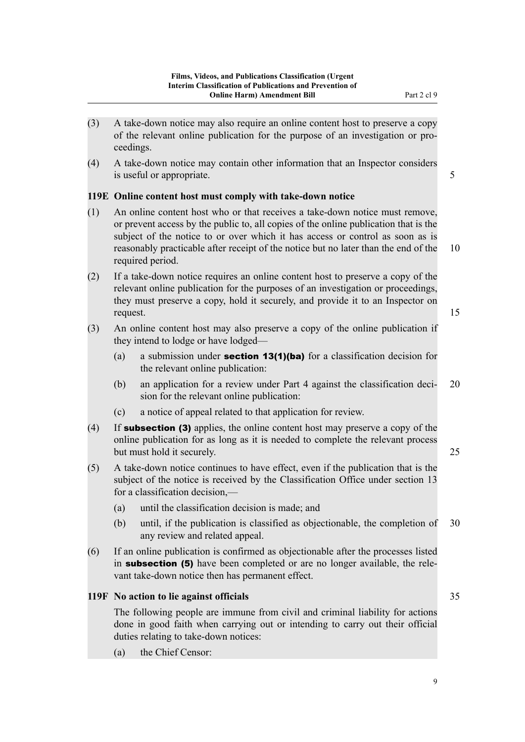- <span id="page-12-0"></span>(3) A take-down notice may also require an online content host to preserve a copy of the relevant online publication for the purpose of an investigation or pro‐ ceedings.
- (4) A take-down notice may contain other information that an Inspector considers is useful or appropriate. 5

### **119E Online content host must comply with take-down notice**

- (1) An online content host who or that receives a take-down notice must remove, or prevent access by the public to, all copies of the online publication that is the subject of the notice to or over which it has access or control as soon as is reasonably practicable after receipt of the notice but no later than the end of the 10 required period.
- (2) If a take-down notice requires an online content host to preserve a copy of the relevant online publication for the purposes of an investigation or proceedings, they must preserve a copy, hold it securely, and provide it to an Inspector on request. 15
- (3) An online content host may also preserve a copy of the online publication if they intend to lodge or have lodged—
	- (a) a submission under **section 13(1)(ba)** for a classification decision for the relevant online publication:
	- (b) an application for a review under Part 4 against the classification deci‐ 20 sion for the relevant online publication:
	- (c) a notice of appeal related to that application for review.
- (4) If **subsection (3)** applies, the online content host may preserve a copy of the online publication for as long as it is needed to complete the relevant process but must hold it securely. 25
- (5) A take-down notice continues to have effect, even if the publication that is the subject of the notice is received by the Classification Office under section 13 for a classification decision,—
	- (a) until the classification decision is made; and
	- (b) until, if the publication is classified as objectionable, the completion of 30 any review and related appeal.
- (6) If an online publication is confirmed as objectionable after the processes listed in **subsection (5)** have been completed or are no longer available, the relevant take-down notice then has permanent effect.

### **119F No action to lie against officials** 35

The following people are immune from civil and criminal liability for actions done in good faith when carrying out or intending to carry out their official duties relating to take-down notices:

(a) the Chief Censor: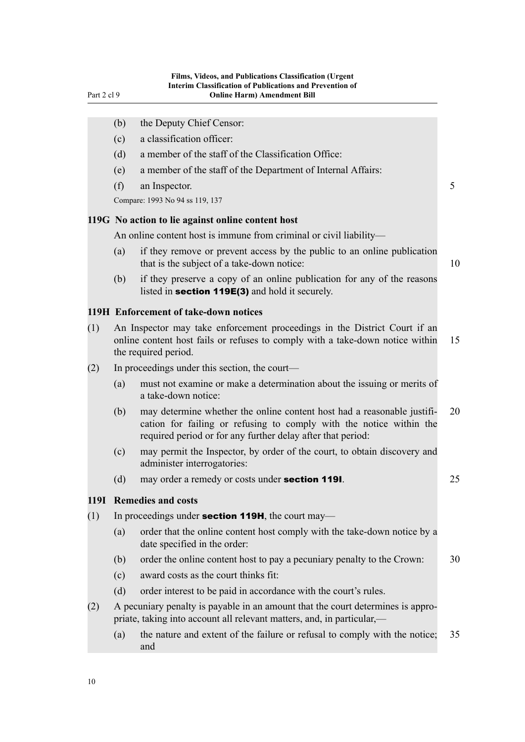<span id="page-13-0"></span>

|      | (b)                                               | the Deputy Chief Censor:                                                                                                                                                                                      |    |  |
|------|---------------------------------------------------|---------------------------------------------------------------------------------------------------------------------------------------------------------------------------------------------------------------|----|--|
|      | (c)                                               | a classification officer:                                                                                                                                                                                     |    |  |
|      | (d)                                               | a member of the staff of the Classification Office:                                                                                                                                                           |    |  |
|      | (e)                                               | a member of the staff of the Department of Internal Affairs:                                                                                                                                                  |    |  |
|      | (f)                                               | an Inspector.                                                                                                                                                                                                 | 5  |  |
|      |                                                   | Compare: 1993 No 94 ss 119, 137                                                                                                                                                                               |    |  |
|      |                                                   | 119G No action to lie against online content host                                                                                                                                                             |    |  |
|      |                                                   | An online content host is immune from criminal or civil liability—                                                                                                                                            |    |  |
|      | (a)                                               | if they remove or prevent access by the public to an online publication<br>that is the subject of a take-down notice:                                                                                         | 10 |  |
|      | (b)                                               | if they preserve a copy of an online publication for any of the reasons<br>listed in <b>section 119E(3)</b> and hold it securely.                                                                             |    |  |
|      |                                                   | 119H Enforcement of take-down notices                                                                                                                                                                         |    |  |
| (1)  |                                                   | An Inspector may take enforcement proceedings in the District Court if an<br>online content host fails or refuses to comply with a take-down notice within<br>15<br>the required period.                      |    |  |
| (2)  |                                                   | In proceedings under this section, the court—                                                                                                                                                                 |    |  |
|      | (a)                                               | must not examine or make a determination about the issuing or merits of<br>a take-down notice:                                                                                                                |    |  |
|      | (b)                                               | may determine whether the online content host had a reasonable justifi-<br>cation for failing or refusing to comply with the notice within the<br>required period or for any further delay after that period: | 20 |  |
|      | (c)                                               | may permit the Inspector, by order of the court, to obtain discovery and<br>administer interrogatories:                                                                                                       |    |  |
|      | (d)                                               | may order a remedy or costs under section 1191.                                                                                                                                                               | 25 |  |
| 119I |                                                   | <b>Remedies and costs</b>                                                                                                                                                                                     |    |  |
| (1)  | In proceedings under section 119H, the court may— |                                                                                                                                                                                                               |    |  |
|      | (a)                                               | order that the online content host comply with the take-down notice by a<br>date specified in the order:                                                                                                      |    |  |
|      | (b)                                               | order the online content host to pay a pecuniary penalty to the Crown:                                                                                                                                        | 30 |  |
|      | (c)                                               | award costs as the court thinks fit:                                                                                                                                                                          |    |  |
|      | (d)                                               | order interest to be paid in accordance with the court's rules.                                                                                                                                               |    |  |
| (2)  |                                                   | A pecuniary penalty is payable in an amount that the court determines is appro-<br>priate, taking into account all relevant matters, and, in particular,—                                                     |    |  |
|      | (a)                                               | the nature and extent of the failure or refusal to comply with the notice;<br>and                                                                                                                             | 35 |  |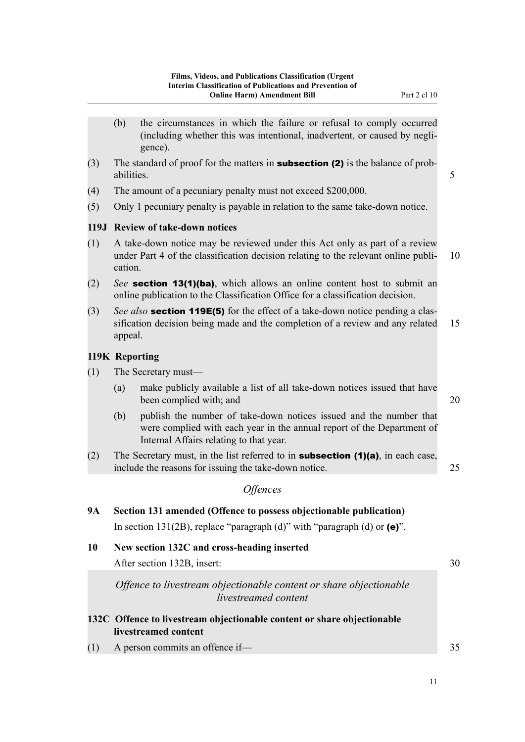<span id="page-14-0"></span>(including whether this was intentional, inadvertent, or caused by negli‐ gence). (3) The standard of proof for the matters in **subsection (2)** is the balance of probabilities. 5 (4) The amount of a pecuniary penalty must not exceed \$200,000. (5) Only 1 pecuniary penalty is payable in relation to the same take-down notice. **119J Review of take-down notices** (1) A take-down notice may be reviewed under this Act only as part of a review under Part 4 of the classification decision relating to the relevant online publi- 10 cation.

(b) the circumstances in which the failure or refusal to comply occurred

- (2) *See* section 13(1)(ba), which allows an online content host to submit an online publication to the Classification Office for a classification decision.
- (3) *See also* section 119E(5) for the effect of a take-down notice pending a clas‐ sification decision being made and the completion of a review and any related 15 appeal.

#### **119K Reporting**

- (1) The Secretary must—
	- (a) make publicly available a list of all take-down notices issued that have been complied with; and 20
	- (b) publish the number of take-down notices issued and the number that were complied with each year in the annual report of the Department of Internal Affairs relating to that year.
- (2) The Secretary must, in the list referred to in **subsection (1)(a)**, in each case, include the reasons for issuing the take-down notice. 25

### *Offences*

| <b>9A</b> | Section 131 amended (Offence to possess objectionable publication)                                                         |    |  |
|-----------|----------------------------------------------------------------------------------------------------------------------------|----|--|
| 10        | In section 131(2B), replace "paragraph (d)" with "paragraph (d) or $(e)$ ".<br>New section 132C and cross-heading inserted |    |  |
|           | After section 132B, insert:                                                                                                | 30 |  |
|           | Offence to livestream objectionable content or share objectionable<br>livestreamed content                                 |    |  |
|           | 132C Offence to livestream objectionable content or share objectionable<br>livestreamed content                            |    |  |
| (1)       | A person commits an offence if-                                                                                            | 35 |  |

11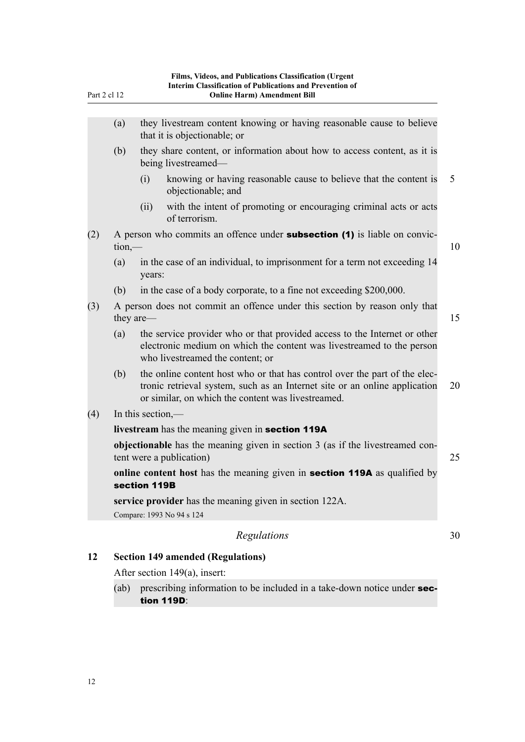<span id="page-15-0"></span>(a) they livestream content knowing or having reasonable cause to believe that it is objectionable; or (b) they share content, or information about how to access content, as it is being livestreamed— (i) knowing or having reasonable cause to believe that the content is 5 objectionable; and (ii) with the intent of promoting or encouraging criminal acts or acts of terrorism. (2) A person who commits an offence under **subsection (1)** is liable on convic- $\lim_{n \to \infty}$  10 (a) in the case of an individual, to imprisonment for a term not exceeding 14 years: (b) in the case of a body corporate, to a fine not exceeding \$200,000. (3) A person does not commit an offence under this section by reason only that they are — 15 (a) the service provider who or that provided access to the Internet or other electronic medium on which the content was livestreamed to the person who livestreamed the content; or (b) the online content host who or that has control over the part of the electronic retrieval system, such as an Internet site or an online application 20 or similar, on which the content was livestreamed. (4) In this section, **livestream** has the meaning given in section 119A **objectionable** has the meaning given in section 3 (as if the livestreamed content were a publication) 25 **online content host** has the meaning given in section 119A as qualified by section 119B **service provider** has the meaning given in section 122A. Compare: 1993 No 94 s 124

# *Regulations* 30

# **12 Section 149 amended (Regulations)**

After section 149(a), insert:

(ab) prescribing information to be included in a take-down notice under **sec**tion 119D: